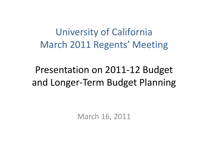University of California March 2011 Regents' Meeting

## Presentation on 2011‐12 Budget and Longer‐Term Budget Planning

March 16, 2011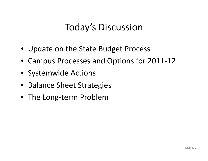## Today's Discussion

- Update on the State Budget Process
- Campus Processes and Options for 2011‐12
- Systemwide Actions
- Balance Sheet Strategies
- The Long‐term Problem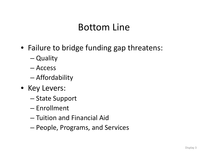### Bottom Line

- Failure to bridge funding gap threatens:
	- Quality
	- Access
	- –Affordability
- Key Levers:
	- –— State Support
	- Enrollment
	- Tuition and Financial Aid
	- People, Programs, and Services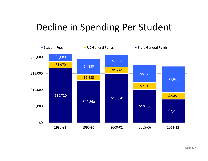## Decline in Spending Per Student

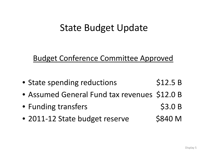### State Budget Update

#### Budget Conference Committee Approved

- State spending reductions \$12.5 B
- Assumed General Fund tax revenues \$12.0 B
- Funding transfers \$3.0 B
- 2011-12 State budget reserve \$840 M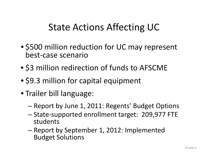## State Actions Affecting UC

- \$500 million reduction for UC may represent best‐case scenario
- \$3 million redirection of funds to AFSCME
- \$9.3 million for capital equipment
- Trailer bill language:
	- –— Report by June 1, 2011: Regents' Budget Options
	- – State‐supported enrollment target: 209,977 FTE students
	- –— Report by September 1, 2012: Implemented Budget Solutions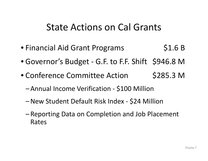#### State Actions on Cal Grants

- Financial Aid Grant Programs \$1.6 B
- Governor's Budget G.F. to F.F. Shift \$946.8 M
- Conference Committee Action \$285.3 M
	- –Annual Income Verification ‐ \$100 Million
	- New Student Default Risk Index ‐ \$24 Million
	- Reporting Data on Completion and Job Placement Rates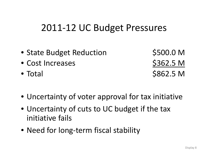#### 2011‐12 UC Budget Pressures

- State Budget Reduction \$500.0 M
- Cost Increases \$362.5 M
- Total

\$862.5 M

- Uncertainty of voter approval for tax initiative
- Uncertainty of cuts to UC budget if the tax initiative fails
- Need for long‐term fiscal stability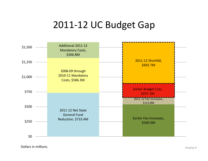#### 2011‐12 UC Budget Gap



Dollars in**n millions.** Display 9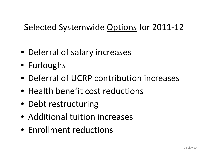#### Selected Systemwide <u>Options</u> for 2011-12

- Deferral of salary increases
- Furloughs
- Deferral of UCRP contribution increases
- Health benefit cost reductions
- Debt restructuring
- Additional tuition increases
- Enrollment reductions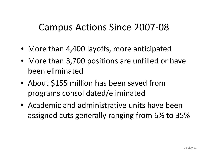### Campus Actions Since 2007‐08

- More than 4,400 layoffs, more anticipated
- More than 3,700 positions are unfilled or have been eliminated
- About \$155 million has been saved from programs consolidated/eliminated
- Academic and administrative units have been assigned cuts generally ranging from 6% to 35%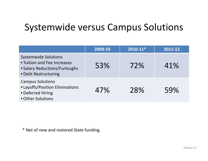### Systemwide versus Campus Solutions

|                                                                                                                     | 2009-10 | $2010 - 11*$ | 2011-12 |
|---------------------------------------------------------------------------------------------------------------------|---------|--------------|---------|
| <b>Systemwide Solutions</b><br>• Tuition and Fee Increases<br>• Salary Reductions/Furloughs<br>• Debt Restructuring | 53%     | 72%          | 41%     |
| <b>Campus Solutions</b><br>• Layoffs/Position Eliminations<br>• Deferred Hiring<br>• Other Solutions                | 47%     | 28%          | 59%     |

\* Net of new and restored State funding.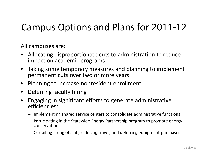## Campus Options and Plans for 2011‐12

All campuses are:

- • Allocating disproportionate cuts to administration to reduce impact on academic programs
- $\bullet$  Taking some temporary measures and planning to implement permanent cuts over two or more years
- $\bullet$ Planning to increase nonresident enrollment
- $\bullet$ • Deferring faculty hiring
- $\bullet$  Engaging in significant efforts to generate administrative efficiencies:
	- Implementing shared service centers to consolidate administrative functions
	- Participating in the Statewide Energy Partnership program to promote energy conservation
	- Curtailing hiring of staff, reducing travel, and deferring equipment purchases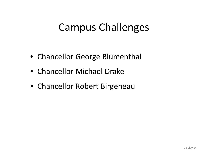# Campus Challenges

- Chancellor George Blumenthal
- Chancellor Michael Drake
- Chancellor Robert Birgeneau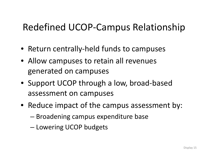## Redefined UCOP‐Campus Relationship

- Return centrally ‐held funds to campuses
- Allow campuses to retain all revenues generated on campuses
- Support UCOP through <sup>a</sup> low, broad‐based assessment on campuses
- Reduce impact of the campus assessment by:
	- –Broadening campus expenditure base
	- Lowering UCOP budgets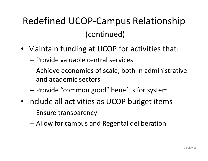# Redefined UCOP‐Campus Relationship (continued)

- Maintain funding at UCOP for activities that:
	- Provide valuable central services
	- – Achieve economies of scale, both in administrative and academic sectors
	- Provide "common good" benefits for system
- Include all activities as UCOP budget items
	- Ensure transparency
	- Allow for campus and Regental deliberation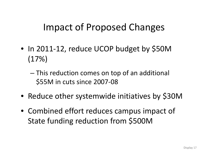## Impact of Proposed Changes

- In 2011‐12, reduce UCOP budget by \$50M (17%)
	- – This reduction comes on top of an additional \$55M in cuts since 2007‐08
- Reduce other systemwide initiatives by \$30M
- Combined effort reduces campus impact of State funding reduction from \$500M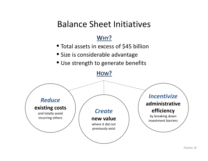#### Balance Sheet Initiatives

#### **WHY?**

- Total assets in excess of \$45 billion
- Size is considerable advantage
- Use strength to generate benefits



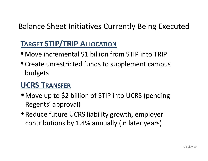#### Balance Sheet Initiatives Currently Being Executed

#### **TARGET STIP/TRIP ALLOCATION**

- Move incremental \$1 billion from STIP into TRIP
- Create unrestricted funds to supplement campus budgets

#### **UCRS TRANSFER**

- Move up to \$2 billion of STIP into UCRS (pending Regents' approval)
- Reduce future UCRS liability growth, employer contributions by 1.4% annually (in later years)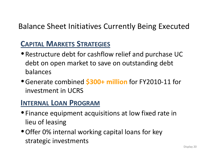#### Balance Sheet Initiatives Currently Being Executed

#### **CAPITAL MARKETS STRATEGIES**

- Restructure debt for cashflow relief and purchase UC debt on open market to save on outstanding debt balances
- •Generate combined **\$300+ million** for FY2010‐11 for investment in UCRS

#### **INTERNAL LOAN PROGRAM**

- $\bullet$  Finance equipment acquisitions at low fixed rate in lieu of leasing
- •Offer 0% internal working capital loans for key strategic investments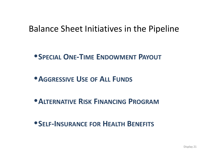#### Balance Sheet Initiatives in the Pipeline

- •**SPECIAL ONE‐TIME ENDOWMENT PAYOUT**
- •**AGGRESSIVE USE OF ALL FUNDS**
- •**ALTERNATIVE RISK FINANCING PROGRAM**
- •**SELF‐INSURANCE FOR HEALTH BENEFITS**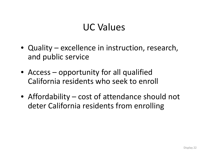## UC Values

- Quality excellence in instruction, research, and public service
- Access opportunity for all qualified California residents who seek to enroll
- Affordability cost of attendance should not deter California residents from enrolling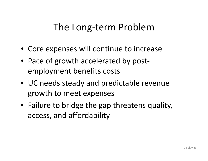### The Long‐term Problem

- Core expenses will continue to increase
- Pace of growth accelerated by post‐ employment benefits costs
- UC needs steady and predictable revenue growth to meet expenses
- Failure to bridge the gap threatens quality, access, and affordability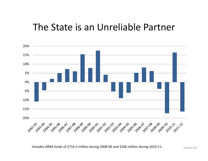#### The State is an Unreliable Partner



Includes ARRA funds of \$716.5 million during <sup>2008</sup>‐<sup>09</sup> and \$106 million during <sup>2010</sup>‐11. Display <sup>24</sup>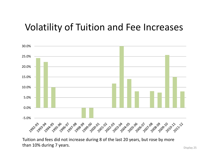### Volatility of Tuition and Fee Increases



Tuition and fees did not increase during 8 of the last 20 years, but rose by more than 10% during 7 years.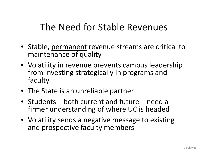### The Need for Stable Revenues

- Stable, permanent revenue streams are critical to maintenance of quality
- Volatility in revenue prevents campus leadership from investing strategically in programs and faculty
- The State is an unreliable partner
- Students both current and future need <sup>a</sup> firmer understanding of where UC is headed
- Volatility sends <sup>a</sup> negative message to existing and prospective faculty members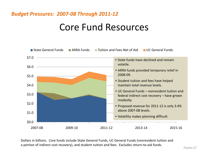#### *Budget Pressures: 2007‐08 Through 2011‐12*

#### Core Fund Resources



Dollars in billions. Core funds include State General Funds, UC General Funds (nonresident tuition and a portion of indirect cost recovery), and student tuition and fees. Excludes return-to-aid funds.<br>Display 27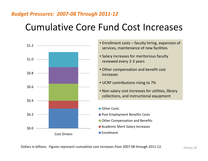#### *Budget Pressures: 2007‐08 Through 2011‐12*

## Cumulative Core Fund Cost Increases



- Enrollment costs faculty hiring, expansion of services, maintenance of new facilities
- Salary increases for meritorious faculty reviewed every 2‐3 years
- Other compensation and benefit cost increases
- UCRP contributions rising to 7%
- Non-salary cost increases for utilities, library collections, and instructional equipment
- Other Costs
- 
- Other Compensation and Benefits
- Academic Merit Salary Increases
- **■Enrollment**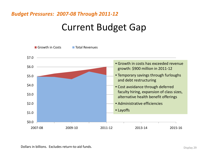#### *Budget Pressures: 2007‐08 Through 2011‐12*

### Current Budget Gap



Dollars in billions. Excludes return-to-aid funds. Display 29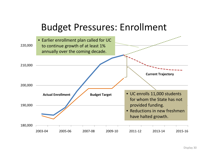#### Budget Pressures: Enrollment

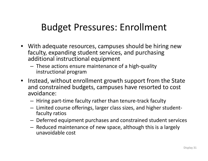### Budget Pressures: Enrollment

- With adequate resources, campuses should be hiring new faculty, expanding student services, and purchasing additional instructional equipment
	- – These actions ensure maintenance of <sup>a</sup> high‐quality instructional program
- Instead, without enrollment growth support from the State and constrained budgets, campuses have resorted to cost avoidance:
	- –— Hiring part-time faculty rather than tenure-track faculty
	- $-$  Limited course offerings, larger class sizes, and higher studentfaculty ratios
	- –Deferred equipment purchases and constrained student services
	- Reduced maintenance of new space, although this is <sup>a</sup> largely unavoidable cost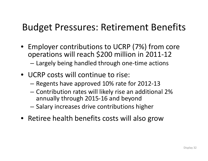### Budget Pressures: Retirement Benefits

- $\bullet~$  Employer contributions to UCRP (7%) from core operations will reach \$200 million in 2011‐<sup>12</sup> –Largely being handled through one‐time actions
- UCRP costs will continue to rise:
	- –Regents have approved 10% rate for 2012‐13
	- – $-$  Contribution rates will likely rise an additional 2%  $\,$ annually through 2015‐16 and beyond
	- – $-$  Salary increases drive contributions higher
- Retiree health benefits costs will also grow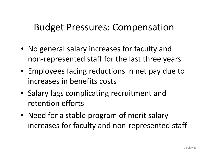#### Budget Pressures: Compensation

- No general salary increases for faculty and non‐represented staff for the last three years
- Employees facing reductions in net pay due to increases in benefits costs
- Salary lags complicating recruitment and retention efforts
- Need for <sup>a</sup> stable program of merit salary increases for faculty and non‐represented staff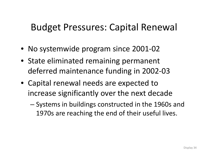### Budget Pressures: Capital Renewal

- No systemwide program since 2001‐02
- State eliminated remaining permanent deferred maintenance funding in 2002‐03
- Capital renewal needs are expected to increase significantly over the next decade
	- Systems in buildings constructed in the 1960s and 1970s are reaching the end of their useful lives.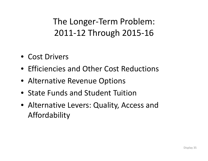- Cost Drivers
- Efficiencies and Other Cost Reductions
- Alternative Revenue Options
- State Funds and Student Tuition
- Alternative Levers: Quality, Access and Affordability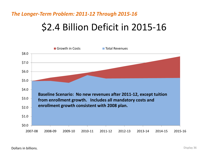## \$2.4 Billion Deficit in 2015‐16

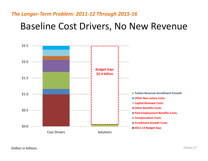#### Baseline Cost Drivers, No New Revenue

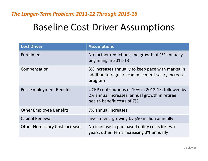### Baseline Cost Driver Assumptions

| <b>Cost Driver</b>                     | <b>Assumptions</b>                                                                                                               |
|----------------------------------------|----------------------------------------------------------------------------------------------------------------------------------|
| Enrollment                             | No further reductions and growth of 1% annually<br>beginning in 2012-13                                                          |
| Compensation                           | 3% increases annually to keep pace with market in<br>addition to regular academic merit salary increase<br>program               |
| Post-Employment Benefits               | UCRP contributions of 10% in 2012-13, followed by<br>2% annual increases; annual growth in retiree<br>health benefit costs of 7% |
| <b>Other Employee Benefits</b>         | 7% annual increases                                                                                                              |
| <b>Capital Renewal</b>                 | Investment growing by \$50 million annually                                                                                      |
| <b>Other Non-salary Cost Increases</b> | No increase in purchased utility costs for two<br>years; other items increasing 3% annually                                      |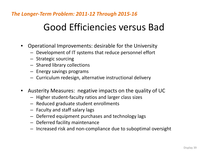## Good Efficiencies versus Bad

- Operational Improvements: desirable for the University
	- Development of IT systems that reduce personnel effort
	- Strategic sourcing
	- Shared library collections
	- Energy savings programs
	- Curriculum redesign, alternative instructional delivery
- $\bullet$  Austerity Measures: negative impacts on the quality of UC
	- Higher student‐faculty ratios and larger class sizes
	- Reduced graduate student enrollments
	- Faculty and staff salary lags
	- Deferred equipment purchases and technology lags
	- Deferred facility maintenance
	- Increased risk and non‐compliance due to suboptimal oversight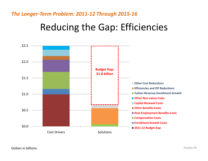### Reducing the Gap: Efficiencies

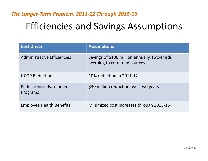## Efficiencies and Savings Assumptions

| <b>Cost Driver</b>                         | <b>Assumptions</b>                                                             |
|--------------------------------------------|--------------------------------------------------------------------------------|
| Administrative Efficiencies                | Savings of \$100 million annually, two-thirds<br>accruing to core fund sources |
| <b>UCOP Reductions</b>                     | 10% reduction in 2011-12                                                       |
| <b>Reductions in Earmarked</b><br>Programs | \$30 million reduction over two years                                          |
| <b>Employee Health Benefits</b>            | Minimized cost increases through 2015-16                                       |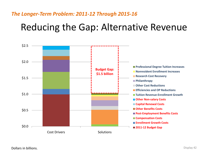### Reducing the Gap: Alternative Revenue

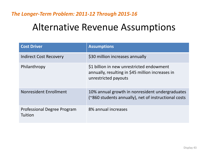### Alternative Revenue Assumptions

| <b>Cost Driver</b>                            | <b>Assumptions</b>                                                                                                    |
|-----------------------------------------------|-----------------------------------------------------------------------------------------------------------------------|
| Indirect Cost Recovery                        | \$30 million increases annually                                                                                       |
| Philanthropy                                  | \$1 billion in new unrestricted endowment<br>annually, resulting in \$45 million increases in<br>unrestricted payouts |
| Nonresident Enrollment                        | 10% annual growth in nonresident undergraduates<br>(~860 students annually), net of instructional costs               |
| <b>Professional Degree Program</b><br>Tuition | 8% annual increases                                                                                                   |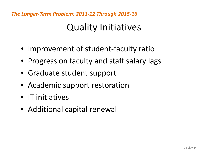### Quality Initiatives

- Improvement of student-faculty ratio
- Progress on faculty and staff salary lags
- Graduate student support
- Academic support restoration
- IT initiatives
- Additional capital renewal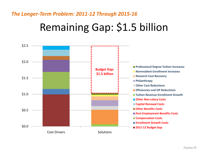# Remaining Gap: \$1.5 billion

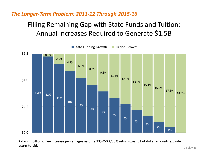#### Filling Remaining Gap with State Funds and Tuition: Annual Increases Required to Generate \$1.5B



Dollars in billions. Fee increase percentages assume 33%/50%/33% return‐to‐aid, but dollar amounts exclude return‐to‐aid.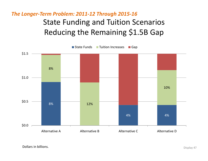State Funding and Tuition Scenarios Reducing the Remaining \$1.5B Gap *The Longer‐Term Problem: 2011‐12 Through 2015‐16*

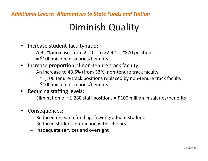#### *Additional Levers: Alternatives to State Funds and Tuition*

### Diminish Quality

- Increase student‐faculty ratio:
	- $-$  A 9.1% increase, from 21.0:1 to 22.9:1 = ~870 positions
		- = \$100 million in salaries/benefits
- •● Increase proportion of non-tenure track faculty:
	- An increase to 43.5% (from 33%) non-tenure track faculty
		- = ~1,100 tenure-track positions replaced by non-tenure track faculty
		- = \$100 million in salaries/benefits
- • Reducing staffing levels:
	- $-$  Elimination of ~1,280 staff positions = \$100 million in salaries/benefits
- $\bullet$  Consequences:
	- Reduced research funding, fewer graduate students
	- Reduced student interaction with scholars
	- Inadequate services and oversight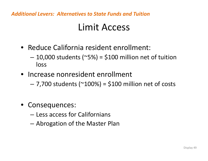*Additional Levers: Alternatives to State Funds and Tuition*

#### Limit Access

- Reduce California resident enrollment:
	- – $-$  10,000 students (~5%) = \$100 million net of tuition loss
- Increase nonresident enrollment
	- – $-$  7,700 students (~100%) = \$100 million net of costs
- Consequences:
	- Less access for Californians
	- –Abrogation of the Master Plan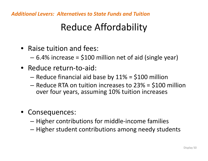*Additional Levers: Alternatives to State Funds and Tuition*

## Reduce Affordability

- Raise tuition and fees:
	- 6.4% increase <sup>=</sup> \$100 million net of aid (single year)
- Reduce return‐to‐aid:
	- – $-$  Reduce financial aid base by 11% = \$100 million
	- Reduce RTA on tuition increases to 23% <sup>=</sup> \$100 million over four years, assuming 10% tuition increases
- Consequences:
	- –— Higher contributions for middle-income families
	- – $-$  Higher student contributions among needy students